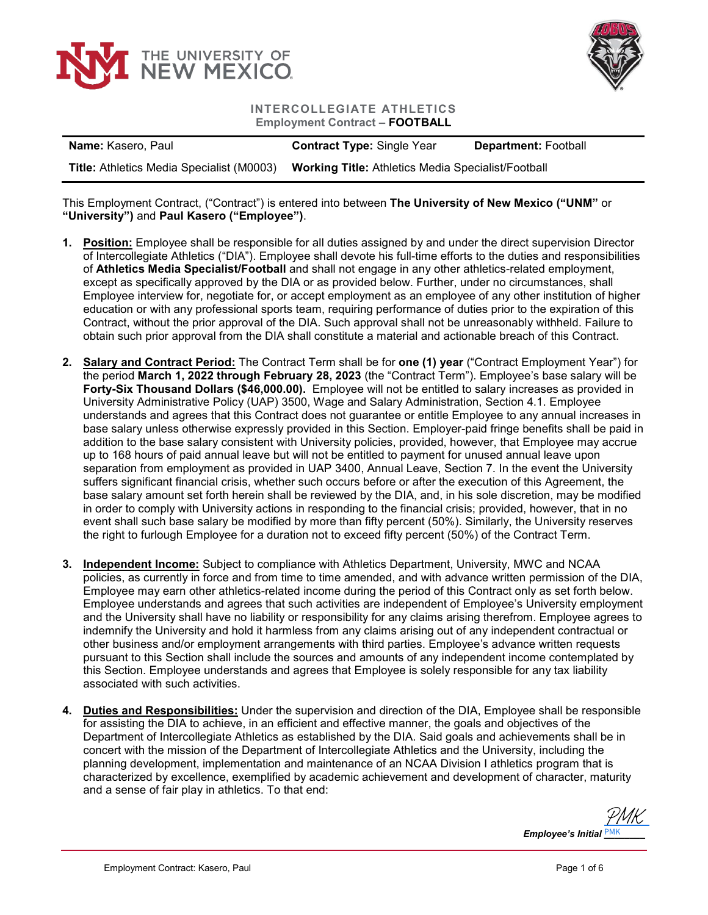



## **INTERCOLLEGIATE ATHLETICS Employment Contract – FOOTBALL**

| <b>Name:</b> Kasero, Paul                        | <b>Contract Type: Single Year</b>                         | <b>Department: Football</b> |
|--------------------------------------------------|-----------------------------------------------------------|-----------------------------|
| <b>Title:</b> Athletics Media Specialist (M0003) | <b>Working Title: Athletics Media Specialist/Football</b> |                             |

This Employment Contract, ("Contract") is entered into between **The University of New Mexico ("UNM"** or **"University")** and **Paul Kasero ("Employee")**.

- **1. Position:** Employee shall be responsible for all duties assigned by and under the direct supervision Director of Intercollegiate Athletics ("DIA"). Employee shall devote his full-time efforts to the duties and responsibilities of **Athletics Media Specialist/Football** and shall not engage in any other athletics-related employment, except as specifically approved by the DIA or as provided below. Further, under no circumstances, shall Employee interview for, negotiate for, or accept employment as an employee of any other institution of higher education or with any professional sports team, requiring performance of duties prior to the expiration of this Contract, without the prior approval of the DIA. Such approval shall not be unreasonably withheld. Failure to obtain such prior approval from the DIA shall constitute a material and actionable breach of this Contract.
- **2. Salary and Contract Period:** The Contract Term shall be for **one (1) year** ("Contract Employment Year") for the period **March 1, 2022 through February 28, 2023** (the "Contract Term"). Employee's base salary will be **Forty-Six Thousand Dollars (\$46,000.00).** Employee will not be entitled to salary increases as provided in University Administrative Policy (UAP) 3500, Wage and Salary Administration, Section 4.1. Employee understands and agrees that this Contract does not guarantee or entitle Employee to any annual increases in base salary unless otherwise expressly provided in this Section. Employer-paid fringe benefits shall be paid in addition to the base salary consistent with University policies, provided, however, that Employee may accrue up to 168 hours of paid annual leave but will not be entitled to payment for unused annual leave upon separation from employment as provided in UAP 3400, Annual Leave, Section 7. In the event the University suffers significant financial crisis, whether such occurs before or after the execution of this Agreement, the base salary amount set forth herein shall be reviewed by the DIA, and, in his sole discretion, may be modified in order to comply with University actions in responding to the financial crisis; provided, however, that in no event shall such base salary be modified by more than fifty percent (50%). Similarly, the University reserves the right to furlough Employee for a duration not to exceed fifty percent (50%) of the Contract Term.
- **3. Independent Income:** Subject to compliance with Athletics Department, University, MWC and NCAA policies, as currently in force and from time to time amended, and with advance written permission of the DIA, Employee may earn other athletics-related income during the period of this Contract only as set forth below. Employee understands and agrees that such activities are independent of Employee's University employment and the University shall have no liability or responsibility for any claims arising therefrom. Employee agrees to indemnify the University and hold it harmless from any claims arising out of any independent contractual or other business and/or employment arrangements with third parties. Employee's advance written requests pursuant to this Section shall include the sources and amounts of any independent income contemplated by this Section. Employee understands and agrees that Employee is solely responsible for any tax liability associated with such activities.
- **4. Duties and Responsibilities:** Under the supervision and direction of the DIA, Employee shall be responsible for assisting the DIA to achieve, in an efficient and effective manner, the goals and objectives of the Department of Intercollegiate Athletics as established by the DIA. Said goals and achievements shall be in concert with the mission of the Department of Intercollegiate Athletics and the University, including the planning development, implementation and maintenance of an NCAA Division I athletics program that is characterized by excellence, exemplified by academic achievement and development of character, maturity and a sense of fair play in athletics. To that end:

*Employee's Initial \_\_\_\_\_\_\_\_* PMK [PMK](https://secure.na2.echosign.com/verifier?tx=CBJCHBCAABAA0mECU2ExFxJxu0ChNc4Xyzc_bClkj_PM)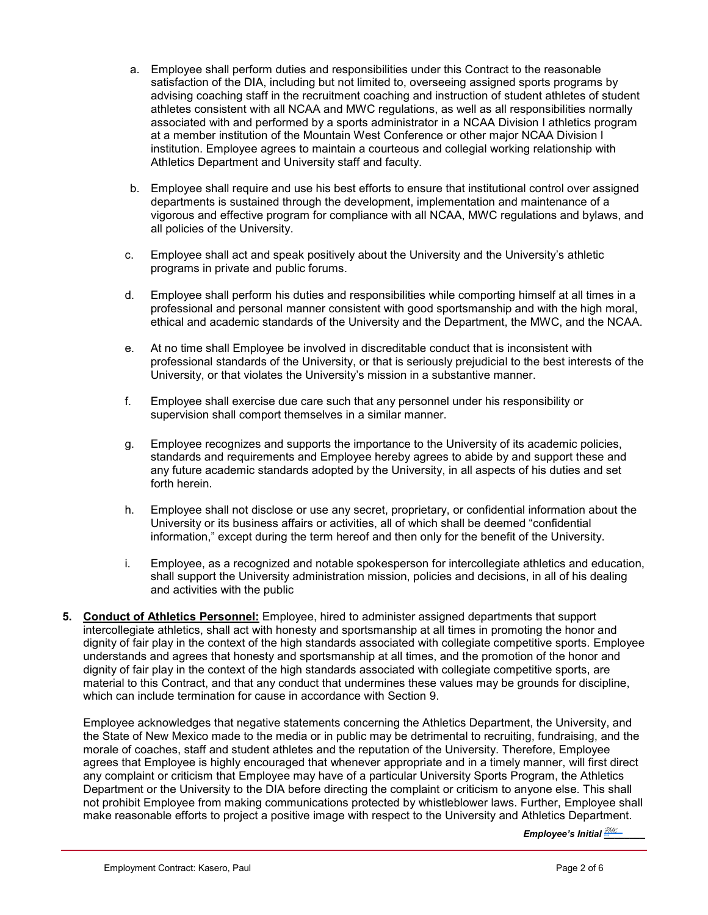- a. Employee shall perform duties and responsibilities under this Contract to the reasonable satisfaction of the DIA, including but not limited to, overseeing assigned sports programs by advising coaching staff in the recruitment coaching and instruction of student athletes of student athletes consistent with all NCAA and MWC regulations, as well as all responsibilities normally associated with and performed by a sports administrator in a NCAA Division I athletics program at a member institution of the Mountain West Conference or other major NCAA Division I institution. Employee agrees to maintain a courteous and collegial working relationship with Athletics Department and University staff and faculty.
- b. Employee shall require and use his best efforts to ensure that institutional control over assigned departments is sustained through the development, implementation and maintenance of a vigorous and effective program for compliance with all NCAA, MWC regulations and bylaws, and all policies of the University.
- c. Employee shall act and speak positively about the University and the University's athletic programs in private and public forums.
- d. Employee shall perform his duties and responsibilities while comporting himself at all times in a professional and personal manner consistent with good sportsmanship and with the high moral, ethical and academic standards of the University and the Department, the MWC, and the NCAA.
- e. At no time shall Employee be involved in discreditable conduct that is inconsistent with professional standards of the University, or that is seriously prejudicial to the best interests of the University, or that violates the University's mission in a substantive manner.
- f. Employee shall exercise due care such that any personnel under his responsibility or supervision shall comport themselves in a similar manner.
- g. Employee recognizes and supports the importance to the University of its academic policies, standards and requirements and Employee hereby agrees to abide by and support these and any future academic standards adopted by the University, in all aspects of his duties and set forth herein.
- h. Employee shall not disclose or use any secret, proprietary, or confidential information about the University or its business affairs or activities, all of which shall be deemed "confidential information," except during the term hereof and then only for the benefit of the University.
- i. Employee, as a recognized and notable spokesperson for intercollegiate athletics and education, shall support the University administration mission, policies and decisions, in all of his dealing and activities with the public
- **5. Conduct of Athletics Personnel:** Employee, hired to administer assigned departments that support intercollegiate athletics, shall act with honesty and sportsmanship at all times in promoting the honor and dignity of fair play in the context of the high standards associated with collegiate competitive sports. Employee understands and agrees that honesty and sportsmanship at all times, and the promotion of the honor and dignity of fair play in the context of the high standards associated with collegiate competitive sports, are material to this Contract, and that any conduct that undermines these values may be grounds for discipline, which can include termination for cause in accordance with Section 9.

Employee acknowledges that negative statements concerning the Athletics Department, the University, and the State of New Mexico made to the media or in public may be detrimental to recruiting, fundraising, and the morale of coaches, staff and student athletes and the reputation of the University. Therefore, Employee agrees that Employee is highly encouraged that whenever appropriate and in a timely manner, will first direct any complaint or criticism that Employee may have of a particular University Sports Program, the Athletics Department or the University to the DIA before directing the complaint or criticism to anyone else. This shall not prohibit Employee from making communications protected by whistleblower laws. Further, Employee shall make reasonable efforts to project a positive image with respect to the University and Athletics Department.

*Employee's Initial <u><sup>2MK\_\_</sup>\_\_</u>\_\_*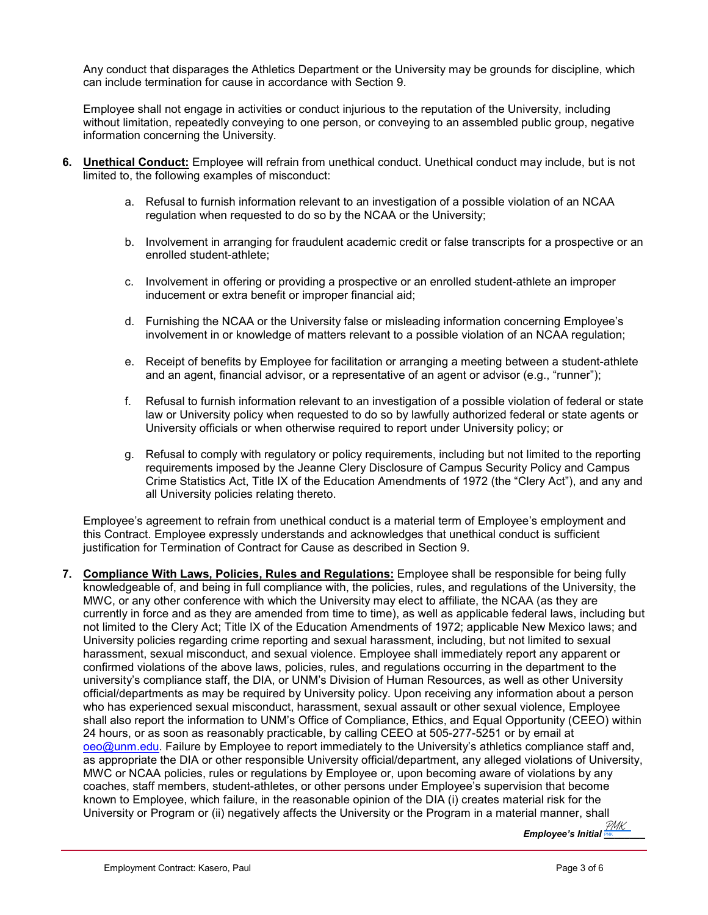Any conduct that disparages the Athletics Department or the University may be grounds for discipline, which can include termination for cause in accordance with Section 9.

Employee shall not engage in activities or conduct injurious to the reputation of the University, including without limitation, repeatedly conveying to one person, or conveying to an assembled public group, negative information concerning the University.

- **6. Unethical Conduct:** Employee will refrain from unethical conduct. Unethical conduct may include, but is not limited to, the following examples of misconduct:
	- a. Refusal to furnish information relevant to an investigation of a possible violation of an NCAA regulation when requested to do so by the NCAA or the University;
	- b. Involvement in arranging for fraudulent academic credit or false transcripts for a prospective or an enrolled student-athlete;
	- c. Involvement in offering or providing a prospective or an enrolled student-athlete an improper inducement or extra benefit or improper financial aid;
	- d. Furnishing the NCAA or the University false or misleading information concerning Employee's involvement in or knowledge of matters relevant to a possible violation of an NCAA regulation;
	- e. Receipt of benefits by Employee for facilitation or arranging a meeting between a student-athlete and an agent, financial advisor, or a representative of an agent or advisor (e.g., "runner");
	- f. Refusal to furnish information relevant to an investigation of a possible violation of federal or state law or University policy when requested to do so by lawfully authorized federal or state agents or University officials or when otherwise required to report under University policy; or
	- g. Refusal to comply with regulatory or policy requirements, including but not limited to the reporting requirements imposed by the Jeanne Clery Disclosure of Campus Security Policy and Campus Crime Statistics Act, Title IX of the Education Amendments of 1972 (the "Clery Act"), and any and all University policies relating thereto.

Employee's agreement to refrain from unethical conduct is a material term of Employee's employment and this Contract. Employee expressly understands and acknowledges that unethical conduct is sufficient justification for Termination of Contract for Cause as described in Section 9.

**7. Compliance With Laws, Policies, Rules and Regulations:** Employee shall be responsible for being fully knowledgeable of, and being in full compliance with, the policies, rules, and regulations of the University, the MWC, or any other conference with which the University may elect to affiliate, the NCAA (as they are currently in force and as they are amended from time to time), as well as applicable federal laws, including but not limited to the Clery Act; Title IX of the Education Amendments of 1972; applicable New Mexico laws; and University policies regarding crime reporting and sexual harassment, including, but not limited to sexual harassment, sexual misconduct, and sexual violence. Employee shall immediately report any apparent or confirmed violations of the above laws, policies, rules, and regulations occurring in the department to the university's compliance staff, the DIA, or UNM's Division of Human Resources, as well as other University official/departments as may be required by University policy. Upon receiving any information about a person who has experienced sexual misconduct, harassment, sexual assault or other sexual violence, Employee shall also report the information to UNM's Office of Compliance, Ethics, and Equal Opportunity (CEEO) within 24 hours, or as soon as reasonably practicable, by calling CEEO at 505-277-5251 or by email at [oeo@unm.edu.](mailto:oeo@unm.edu) Failure by Employee to report immediately to the University's athletics compliance staff and, as appropriate the DIA or other responsible University official/department, any alleged violations of University, MWC or NCAA policies, rules or regulations by Employee or, upon becoming aware of violations by any coaches, staff members, student-athletes, or other persons under Employee's supervision that become known to Employee, which failure, in the reasonable opinion of the DIA (i) creates material risk for the University or Program or (ii) negatively affects the University or the Program in a material manner, shall

*Employee's Initial [\\_\\_\\_\\_\\_\\_\\_\\_](https://secure.na2.echosign.com/verifier?tx=CBJCHBCAABAA0mECU2ExFxJxu0ChNc4Xyzc_bClkj_PM)* PMK PMK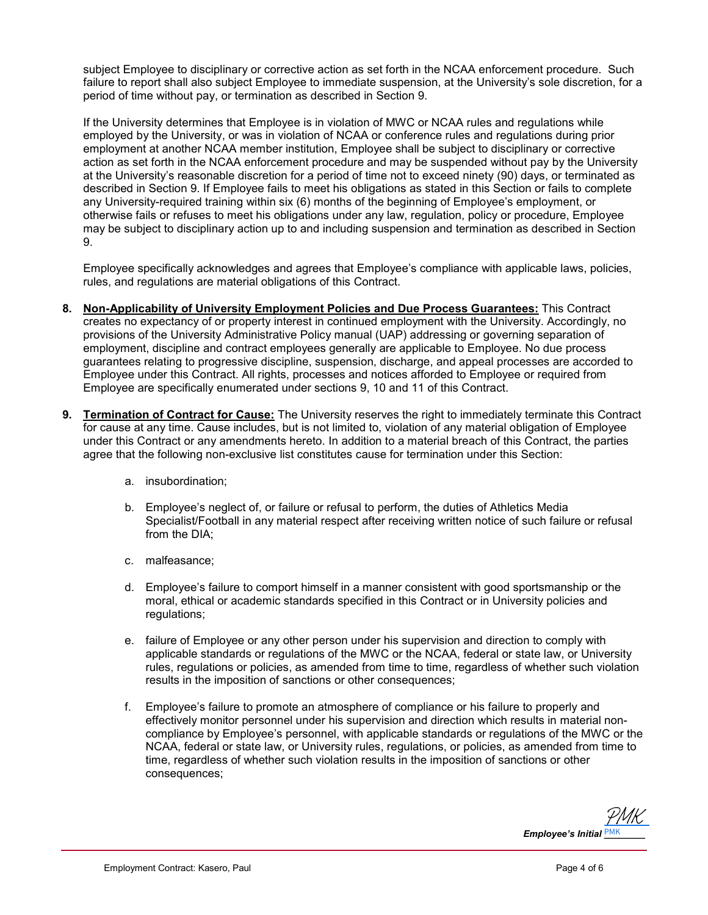subject Employee to disciplinary or corrective action as set forth in the NCAA enforcement procedure. Such failure to report shall also subject Employee to immediate suspension, at the University's sole discretion, for a period of time without pay, or termination as described in Section 9.

If the University determines that Employee is in violation of MWC or NCAA rules and regulations while employed by the University, or was in violation of NCAA or conference rules and regulations during prior employment at another NCAA member institution, Employee shall be subject to disciplinary or corrective action as set forth in the NCAA enforcement procedure and may be suspended without pay by the University at the University's reasonable discretion for a period of time not to exceed ninety (90) days, or terminated as described in Section 9. If Employee fails to meet his obligations as stated in this Section or fails to complete any University-required training within six (6) months of the beginning of Employee's employment, or otherwise fails or refuses to meet his obligations under any law, regulation, policy or procedure, Employee may be subject to disciplinary action up to and including suspension and termination as described in Section 9.

Employee specifically acknowledges and agrees that Employee's compliance with applicable laws, policies, rules, and regulations are material obligations of this Contract.

- **8. Non-Applicability of University Employment Policies and Due Process Guarantees:** This Contract creates no expectancy of or property interest in continued employment with the University. Accordingly, no provisions of the University Administrative Policy manual (UAP) addressing or governing separation of employment, discipline and contract employees generally are applicable to Employee. No due process guarantees relating to progressive discipline, suspension, discharge, and appeal processes are accorded to Employee under this Contract. All rights, processes and notices afforded to Employee or required from Employee are specifically enumerated under sections 9, 10 and 11 of this Contract.
- **9. Termination of Contract for Cause:** The University reserves the right to immediately terminate this Contract for cause at any time. Cause includes, but is not limited to, violation of any material obligation of Employee under this Contract or any amendments hereto. In addition to a material breach of this Contract, the parties agree that the following non-exclusive list constitutes cause for termination under this Section:
	- a. insubordination;
	- b. Employee's neglect of, or failure or refusal to perform, the duties of Athletics Media Specialist/Football in any material respect after receiving written notice of such failure or refusal from the DIA;
	- c. malfeasance;
	- d. Employee's failure to comport himself in a manner consistent with good sportsmanship or the moral, ethical or academic standards specified in this Contract or in University policies and regulations;
	- e. failure of Employee or any other person under his supervision and direction to comply with applicable standards or regulations of the MWC or the NCAA, federal or state law, or University rules, regulations or policies, as amended from time to time, regardless of whether such violation results in the imposition of sanctions or other consequences;
	- f. Employee's failure to promote an atmosphere of compliance or his failure to properly and effectively monitor personnel under his supervision and direction which results in material noncompliance by Employee's personnel, with applicable standards or regulations of the MWC or the NCAA, federal or state law, or University rules, regulations, or policies, as amended from time to time, regardless of whether such violation results in the imposition of sanctions or other consequences;

*Employee's Initial \_\_\_\_\_\_\_\_* PMK [PMK](https://secure.na2.echosign.com/verifier?tx=CBJCHBCAABAA0mECU2ExFxJxu0ChNc4Xyzc_bClkj_PM)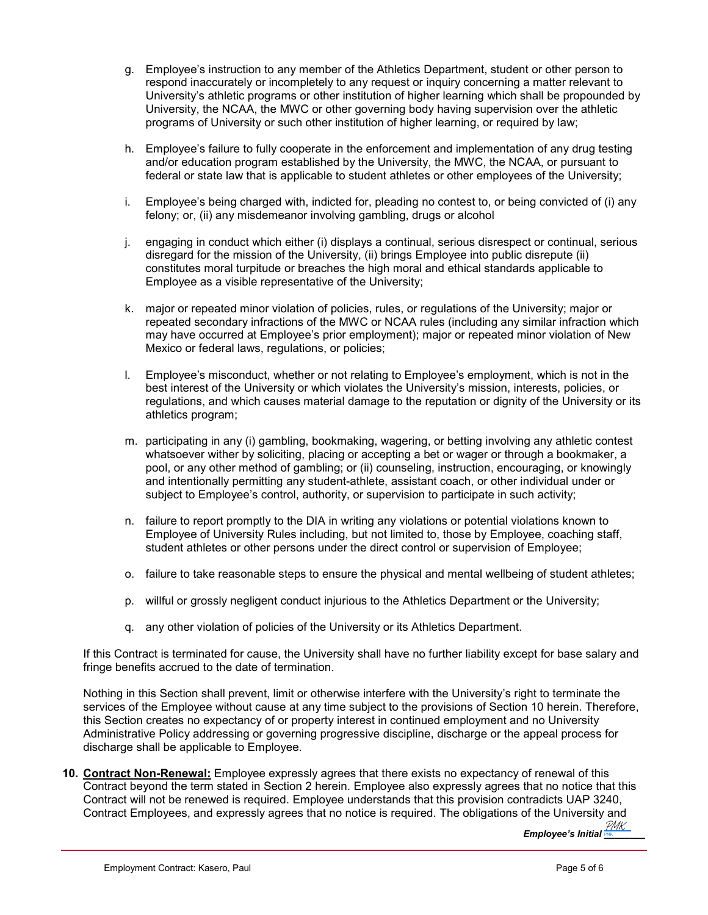- g. Employee's instruction to any member of the Athletics Department, student or other person to respond inaccurately or incompletely to any request or inquiry concerning a matter relevant to University's athletic programs or other institution of higher learning which shall be propounded by University, the NCAA, the MWC or other governing body having supervision over the athletic programs of University or such other institution of higher learning, or required by law;
- h. Employee's failure to fully cooperate in the enforcement and implementation of any drug testing and/or education program established by the University, the MWC, the NCAA, or pursuant to federal or state law that is applicable to student athletes or other employees of the University;
- i. Employee's being charged with, indicted for, pleading no contest to, or being convicted of (i) any felony; or, (ii) any misdemeanor involving gambling, drugs or alcohol
- j. engaging in conduct which either (i) displays a continual, serious disrespect or continual, serious disregard for the mission of the University, (ii) brings Employee into public disrepute (ii) constitutes moral turpitude or breaches the high moral and ethical standards applicable to Employee as a visible representative of the University;
- k. major or repeated minor violation of policies, rules, or regulations of the University; major or repeated secondary infractions of the MWC or NCAA rules (including any similar infraction which may have occurred at Employee's prior employment); major or repeated minor violation of New Mexico or federal laws, regulations, or policies;
- l. Employee's misconduct, whether or not relating to Employee's employment, which is not in the best interest of the University or which violates the University's mission, interests, policies, or regulations, and which causes material damage to the reputation or dignity of the University or its athletics program;
- m. participating in any (i) gambling, bookmaking, wagering, or betting involving any athletic contest whatsoever wither by soliciting, placing or accepting a bet or wager or through a bookmaker, a pool, or any other method of gambling; or (ii) counseling, instruction, encouraging, or knowingly and intentionally permitting any student-athlete, assistant coach, or other individual under or subject to Employee's control, authority, or supervision to participate in such activity;
- n. failure to report promptly to the DIA in writing any violations or potential violations known to Employee of University Rules including, but not limited to, those by Employee, coaching staff, student athletes or other persons under the direct control or supervision of Employee;
- o. failure to take reasonable steps to ensure the physical and mental wellbeing of student athletes;
- p. willful or grossly negligent conduct injurious to the Athletics Department or the University;
- q. any other violation of policies of the University or its Athletics Department.

If this Contract is terminated for cause, the University shall have no further liability except for base salary and fringe benefits accrued to the date of termination.

Nothing in this Section shall prevent, limit or otherwise interfere with the University's right to terminate the services of the Employee without cause at any time subject to the provisions of Section 10 herein. Therefore, this Section creates no expectancy of or property interest in continued employment and no University Administrative Policy addressing or governing progressive discipline, discharge or the appeal process for discharge shall be applicable to Employee.

**10. Contract Non-Renewal:** Employee expressly agrees that there exists no expectancy of renewal of this Contract beyond the term stated in Section 2 herein. Employee also expressly agrees that no notice that this Contract will not be renewed is required. Employee understands that this provision contradicts UAP 3240, Contract Employees, and expressly agrees that no notice is required. The obligations of the University and

*Employee's Initial [\\_\\_\\_\\_\\_\\_\\_\\_](https://secure.na2.echosign.com/verifier?tx=CBJCHBCAABAA0mECU2ExFxJxu0ChNc4Xyzc_bClkj_PM)* PMK PMK